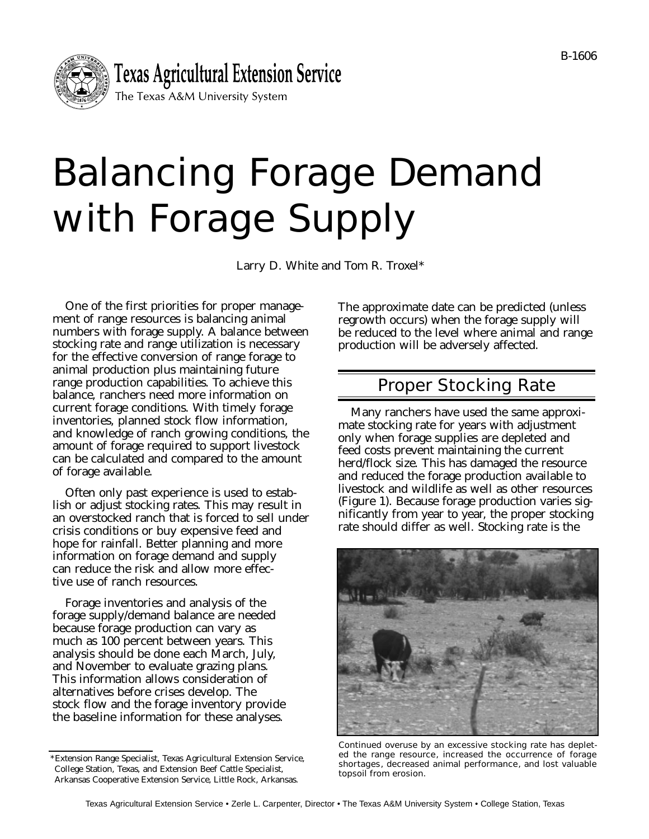

# Balancing Forage Demand with Forage Supply

Larry D. White and Tom R. Troxel\*

One of the first priorities for proper management of range resources is balancing animal numbers with forage supply. A balance between stocking rate and range utilization is necessary for the effective conversion of range forage to animal production plus maintaining future range production capabilities. To achieve this balance, ranchers need more information on current forage conditions. With timely forage inventories, planned stock flow information, and knowledge of ranch growing conditions, the amount of forage required to support livestock can be calculated and compared to the amount of forage available.

Often only past experience is used to establish or adjust stocking rates. This may result in an overstocked ranch that is forced to sell under crisis conditions or buy expensive feed and hope for rainfall. Better planning and more information on forage demand and supply can reduce the risk and allow more effective use of ranch resources.

Forage inventories and analysis of the forage supply/demand balance are needed because forage production can vary as much as 100 percent between years. This analysis should be done each March, July, and November to evaluate grazing plans. This information allows consideration of alternatives before crises develop. The stock flow and the forage inventory provide the baseline information for these analyses.

The approximate date can be predicted (unless regrowth occurs) when the forage supply will be reduced to the level where animal and range production will be adversely affected.

## Proper Stocking Rate

Many ranchers have used the same approximate stocking rate for years with adjustment only when forage supplies are depleted and feed costs prevent maintaining the current herd/flock size. This has damaged the resource and reduced the forage production available to livestock and wildlife as well as other resources (Figure 1). Because forage production varies significantly from year to year, the proper stocking rate should differ as well. Stocking rate is the



Continued overuse by an excessive stocking rate has depleted the range resource, increased the occurrence of forage shortages, decreased animal performance, and lost valuable topsoil from erosion.

<sup>\*</sup>Extension Range Specialist, Texas Agricultural Extension Service, College Station, Texas, and Extension Beef Cattle Specialist, Arkansas Cooperative Extension Service, Little Rock, Arkansas.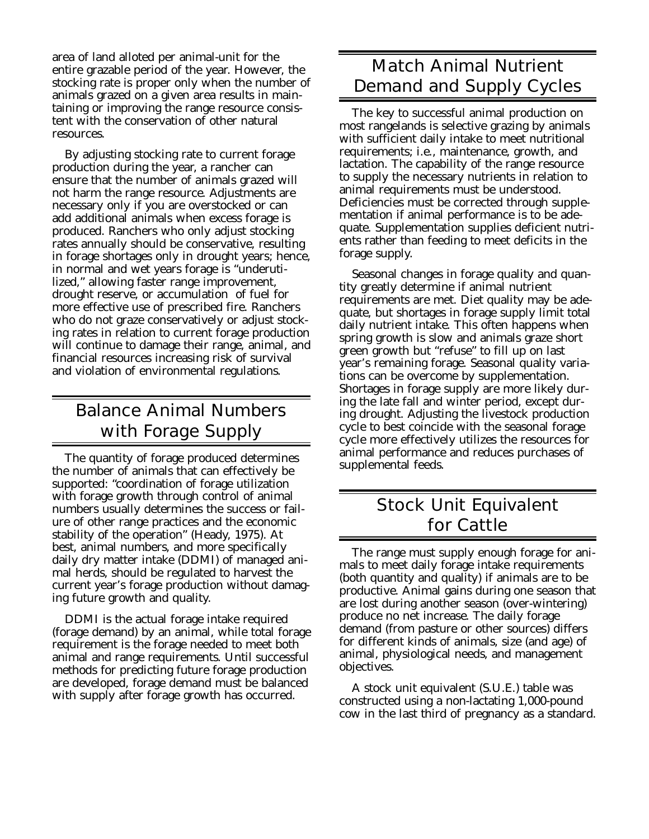area of land alloted per animal-unit for the entire grazable period of the year. However, the stocking rate is proper only when the number of animals grazed on a given area results in maintaining or improving the range resource consistent with the conservation of other natural resources.

By adjusting stocking rate to current forage production during the year, a rancher can ensure that the number of animals grazed will not harm the range resource. Adjustments are necessary only if you are overstocked or can add additional animals when excess forage is produced. Ranchers who only adjust stocking rates annually should be conservative, resulting in forage shortages only in drought years; hence, in normal and wet years forage is "underutilized," allowing faster range improvement, drought reserve, or accumulation of fuel for more effective use of prescribed fire. Ranchers who do not graze conservatively or adjust stocking rates in relation to current forage production will continue to damage their range, animal, and financial resources increasing risk of survival and violation of environmental regulations.

# Balance Animal Numbers with Forage Supply

The quantity of forage produced determines the number of animals that can effectively be supported: "coordination of forage utilization with forage growth through control of animal numbers usually determines the success or failure of other range practices and the economic stability of the operation" (Heady, 1975). At best, animal numbers, and more specifically daily dry matter intake (DDMI) of managed animal herds, should be regulated to harvest the current year's forage production without damaging future growth and quality.

DDMI is the actual forage intake required (forage demand) by an animal, while total forage requirement is the forage needed to meet both animal and range requirements. Until successful methods for predicting future forage production are developed, forage demand must be balanced with supply after forage growth has occurred.

## Match Animal Nutrient Demand and Supply Cycles

The key to successful animal production on most rangelands is selective grazing by animals with sufficient daily intake to meet nutritional requirements; i.e., maintenance, growth, and lactation. The capability of the range resource to supply the necessary nutrients in relation to animal requirements must be understood. Deficiencies must be corrected through supplementation if animal performance is to be adequate. Supplementation supplies deficient nutrients rather than feeding to meet deficits in the forage supply.

Seasonal changes in forage quality and quantity greatly determine if animal nutrient requirements are met. Diet quality may be adequate, but shortages in forage supply limit total daily nutrient intake. This often happens when spring growth is slow and animals graze short green growth but "refuse" to fill up on last year's remaining forage. Seasonal quality variations can be overcome by supplementation. Shortages in forage supply are more likely during the late fall and winter period, except during drought. Adjusting the livestock production cycle to best coincide with the seasonal forage cycle more effectively utilizes the resources for animal performance and reduces purchases of supplemental feeds.

#### Stock Unit Equivalent for Cattle

The range must supply enough forage for animals to meet daily forage intake requirements (both quantity and quality) if animals are to be productive. Animal gains during one season that are lost during another season (over-wintering) produce no net increase. The daily forage demand (from pasture or other sources) differs for different kinds of animals, size (and age) of animal, physiological needs, and management objectives.

A stock unit equivalent (S.U.E.) table was constructed using a non-lactating 1,000-pound cow in the last third of pregnancy as a standard.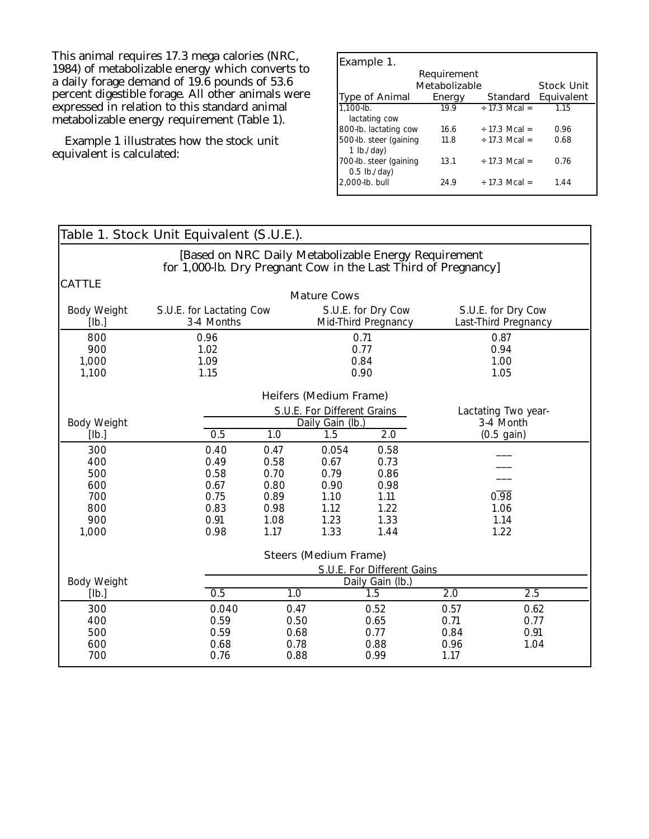This animal requires 17.3 mega calories (NRC, 1984) of metabolizable energy which converts to a daily forage demand of 19.6 pounds of 53.6 percent digestible forage. All other animals were expressed in relation to this standard animal metabolizable energy requirement (Table 1).

Example 1 illustrates how the stock unit equivalent is calculated:

| <b>Example 1.</b>                        |                      |                    |                   |  |  |  |  |  |
|------------------------------------------|----------------------|--------------------|-------------------|--|--|--|--|--|
| Requirement                              |                      |                    |                   |  |  |  |  |  |
|                                          | <b>Metabolizable</b> |                    | <b>Stock Unit</b> |  |  |  |  |  |
| <b>Type of Animal</b>                    | <b>Energy</b>        | <b>Standard</b>    | Equivalent        |  |  |  |  |  |
| 1,100-lb.<br>lactating cow               | 19.9                 | $\div$ 17.3 Mcal = | 1.15              |  |  |  |  |  |
| 800-lb. lactating cow                    | 16.6                 | $\div$ 17.3 Mcal = | 0.96              |  |  |  |  |  |
| 500-lb. steer (gaining<br>1 $lb./day)$   | 11.8                 | $\div$ 17.3 Mcal = | 0.68              |  |  |  |  |  |
| 700-lb. steer (gaining<br>$0.5$ lb./day) | 13.1                 | $\div$ 17.3 Mcal = | 0.76              |  |  |  |  |  |
| 2,000-lb. bull                           | 24.9                 | $\div$ 17.3 Mcal = | 1.44              |  |  |  |  |  |

| Table 1. Stock Unit Equivalent (S.U.E.).                                                                               |                                        |                  |                             |                                            |                  |           |  |  |  |
|------------------------------------------------------------------------------------------------------------------------|----------------------------------------|------------------|-----------------------------|--------------------------------------------|------------------|-----------|--|--|--|
| [Based on NRC Daily Metabolizable Energy Requirement<br>for 1,000-lb. Dry Pregnant Cow in the Last Third of Pregnancy] |                                        |                  |                             |                                            |                  |           |  |  |  |
| <b>CATTLE</b>                                                                                                          | <b>Mature Cows</b>                     |                  |                             |                                            |                  |           |  |  |  |
|                                                                                                                        |                                        |                  |                             | S.U.E. for Dry Cow                         |                  |           |  |  |  |
| Body Weight<br>[lb.]                                                                                                   | S.U.E. for Lactating Cow<br>3-4 Months |                  |                             | S.U.E. for Dry Cow<br>Last-Third Pregnancy |                  |           |  |  |  |
| 800                                                                                                                    | 0.96                                   |                  |                             | 0.71                                       |                  | 0.87      |  |  |  |
| 900                                                                                                                    | 1.02                                   |                  |                             | 0.77                                       |                  | 0.94      |  |  |  |
| 1,000                                                                                                                  | 1.09                                   |                  |                             | 0.84                                       |                  | 1.00      |  |  |  |
| 1,100                                                                                                                  | 1.15                                   |                  |                             | 0.90                                       |                  | 1.05      |  |  |  |
|                                                                                                                        |                                        |                  | Heifers (Medium Frame)      |                                            |                  |           |  |  |  |
|                                                                                                                        |                                        |                  | S.U.E. For Different Grains | Lactating Two year-                        |                  |           |  |  |  |
| Body Weight                                                                                                            |                                        |                  | Daily Gain (lb.)            |                                            |                  | 3-4 Month |  |  |  |
| [lb.]                                                                                                                  | 0.5                                    | 1.0              | 1.5                         | 2.0                                        | $(0.5$ gain)     |           |  |  |  |
| 300                                                                                                                    | 0.40                                   | 0.47             | 0.054                       | 0.58                                       |                  |           |  |  |  |
| 400                                                                                                                    | 0.49                                   | 0.58             | 0.67<br>0.79                | 0.73<br>0.86                               |                  |           |  |  |  |
| 500                                                                                                                    |                                        | 0.58<br>0.70     |                             |                                            |                  |           |  |  |  |
| 600                                                                                                                    | 0.67                                   | 0.80             | 0.90<br>1.10                | 0.98<br>1.11                               |                  |           |  |  |  |
| 700                                                                                                                    |                                        | 0.75<br>0.89     |                             |                                            |                  | 0.98      |  |  |  |
| 800                                                                                                                    | 0.83                                   | 0.98<br>1.08     | 1.12                        | 1.22                                       |                  | 1.06      |  |  |  |
| 900                                                                                                                    | 0.91                                   | 1.23             | 1.33                        |                                            | 1.14             |           |  |  |  |
| 1,000                                                                                                                  | 0.98                                   | 1.17             | 1.33                        | 1.44                                       |                  | 1.22      |  |  |  |
| <b>Steers (Medium Frame)</b>                                                                                           |                                        |                  |                             |                                            |                  |           |  |  |  |
|                                                                                                                        |                                        |                  |                             | S.U.E. For Different Gains                 |                  |           |  |  |  |
| Body Weight                                                                                                            |                                        | Daily Gain (lb.) |                             |                                            |                  |           |  |  |  |
| [lb.]                                                                                                                  | 0.5                                    | $\overline{1.0}$ |                             | $\overline{1.5}$                           | $\overline{2.0}$ | 2.5       |  |  |  |
| 300                                                                                                                    | 0.040                                  | 0.47             |                             | 0.52                                       | 0.57             | 0.62      |  |  |  |
| 400                                                                                                                    | 0.59                                   | 0.50             |                             | 0.65                                       | 0.71             | 0.77      |  |  |  |
| 500                                                                                                                    | 0.59                                   | 0.68             |                             | 0.77                                       | 0.84             | 0.91      |  |  |  |
| 600                                                                                                                    | 0.68                                   | 0.78             |                             | 0.88                                       | 0.96             | 1.04      |  |  |  |
| 700                                                                                                                    | 0.76                                   | 0.88             | 0.99                        | 1.17                                       |                  |           |  |  |  |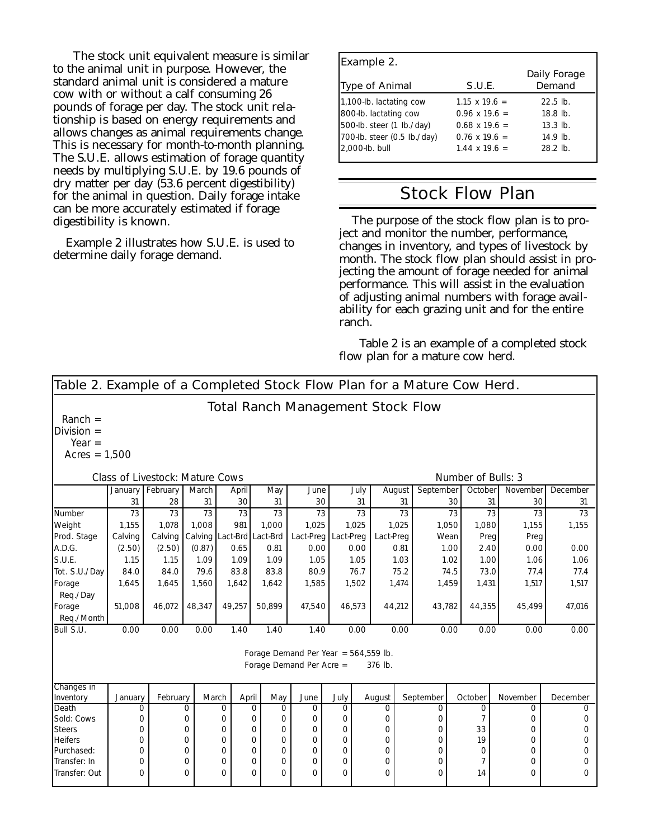The stock unit equivalent measure is similar to the animal unit in purpose. However, the standard animal unit is considered a mature cow with or without a calf consuming 26 pounds of forage per day. The stock unit relationship is based on energy requirements and allows changes as animal requirements change. This is necessary for month-to-month planning. The S.U.E. allows estimation of forage quantity needs by multiplying S.U.E. by 19.6 pounds of dry matter per day (53.6 percent digestibility) for the animal in question. Daily forage intake can be more accurately estimated if forage digestibility is known.

Example 2 illustrates how S.U.E. is used to determine daily forage demand.

| Example 2.                  |                      |                        |
|-----------------------------|----------------------|------------------------|
| <b>Type of Animal</b>       | S.U.E.               | Daily Forage<br>Demand |
| 1,100-lb. lactating cow     | $1.15 \times 19.6 =$ | $22.5$ lb.             |
| 800-lb. lactating cow       | $0.96 \times 19.6 =$ | $18.8$ lb.             |
| 500-lb. steer (1 lb./day)   | $0.68 \times 19.6 =$ | $13.3$ lb.             |
| 700-lb. steer (0.5 lb./day) | $0.76 \times 19.6 =$ | $14.9$ lb.             |
| 2.000-lb. bull              | $1.44 \times 19.6 =$ | 28.2 lb.               |

#### Stock Flow Plan

The purpose of the stock flow plan is to project and monitor the number, performance, changes in inventory, and types of livestock by month. The stock flow plan should assist in projecting the amount of forage needed for animal performance. This will assist in the evaluation of adjusting animal numbers with forage availability for each grazing unit and for the entire ranch.

Table 2 is an example of a completed stock flow plan for a mature cow herd.

| Table 2. Example of a Completed Stock Flow Plan for a Mature Cow Herd.        |                                                       |          |             |          |                           |           |           |        |           |             |       |         |          |          |
|-------------------------------------------------------------------------------|-------------------------------------------------------|----------|-------------|----------|---------------------------|-----------|-----------|--------|-----------|-------------|-------|---------|----------|----------|
| <b>Total Ranch Management Stock Flow</b><br>$Ranch =$                         |                                                       |          |             |          |                           |           |           |        |           |             |       |         |          |          |
| Division =<br>Year $=$                                                        |                                                       |          |             |          |                           |           |           |        |           |             |       |         |          |          |
| Acres = $1,500$                                                               |                                                       |          |             |          |                           |           |           |        |           |             |       |         |          |          |
|                                                                               | Class of Livestock: Mature Cows<br>Number of Bulls: 3 |          |             |          |                           |           |           |        |           |             |       |         |          |          |
|                                                                               | January                                               | February | March       | April    | May                       | June      |           | July   | August    | September   |       | October | November | December |
|                                                                               | 31                                                    | 28       | 31          | 30       | 31                        | 30        |           | 31     |           | 31          | 30    | 31      | 30       | 31       |
| Number                                                                        | 73                                                    | 73       | 73          | 73       | 73                        | 73        |           | 73     |           | 73          | 73    | 73      | 73       | 73       |
| Weight                                                                        | 1,155                                                 | 1,078    | 1,008       | 981      | 1,000                     | 1,025     |           | 1,025  |           | 1,025       | 1,050 | 1,080   | 1,155    | 1,155    |
| Prod. Stage                                                                   | Calving                                               | Calving  |             |          | Calving Lact-Brd Lact-Brd | Lact-Preg | Lact-Preg |        | Lact-Preq |             | Wean  | Preg    | Preg     |          |
| A.D.G.                                                                        | (2.50)                                                | (2.50)   | (0.87)      | 0.65     | 0.81                      | 0.00      |           | 0.00   |           | 0.81        | 1.00  | 2.40    | 0.00     | 0.00     |
| S.U.E.                                                                        | 1.15                                                  | 1.15     | 1.09        | 1.09     | 1.09                      | 1.05      |           | 1.05   |           | 1.03        | 1.02  | 1.00    | 1.06     | 1.06     |
| Tot. S.U./Day                                                                 | 84.0                                                  | 84.0     | 79.6        | 83.8     | 83.8                      | 80.9      |           | 76.7   |           | 75.2        | 74.5  | 73.0    | 77.4     | 77.4     |
| Forage<br>Reg./Day                                                            | 1,645                                                 | 1,645    | 1,560       | 1,642    | 1,642                     | 1,585     |           | 1,502  |           | 1,474       | 1,459 | 1,431   | 1,517    | 1,517    |
| Forage<br>Reg./Month                                                          | 51,008                                                | 46,072   | 48,347      | 49,257   | 50.899                    | 47,540    |           | 46,573 | 44,212    | 43,782      |       | 44,355  | 45,499   | 47.016   |
| Bull S.U.                                                                     | 0.00                                                  | 0.00     | 0.00        | 1.40     | 1.40                      | 1.40      |           | 0.00   |           | 0.00        | 0.00  | 0.00    | 0.00     | 0.00     |
| Forage Demand Per Year = $564,559$ lb.<br>Forage Demand Per Acre =<br>376 lb. |                                                       |          |             |          |                           |           |           |        |           |             |       |         |          |          |
| Changes in<br>Inventory                                                       | January                                               | February | March       | April    | May                       | June      | July      |        | August    | September   |       | October | November | December |
| Death                                                                         | 0                                                     |          | 0           | 0        | 0<br>0                    | 0         | 0         |        | 0         | $\mathbf 0$ |       | 0       | 0        | 0        |
| Sold: Cows                                                                    | 0                                                     |          | 0           | 0        | $\mathbf 0$<br>0          | 0         | 0         |        | 0         | 0           |       | 7       | 0        | 0        |
| <b>Steers</b>                                                                 | 0                                                     |          | 0           | 0        | 0<br>$\mathbf 0$          | 0         | 0         |        | 0         | 0           |       | 33      | 0        | 0        |
| <b>Heifers</b>                                                                | 0                                                     |          | 0           | $\Omega$ | 0<br>$\Omega$             | 0         | 0         |        | 0         | 0           |       | 19      | 0        | 0        |
| Purchased:                                                                    | 0                                                     |          | 0           | 0        | 0<br>$\Omega$             | 0         | 0         |        | 0         | 0           |       | 0       | 0        | 0        |
| Transfer: In                                                                  | 0                                                     |          | 0           | 0        | $\overline{0}$<br>0       | 0         | 0         |        | 0         | 0           |       | 7       | 0        | 0        |
| Transfer: Out                                                                 | 0                                                     |          | $\mathbf 0$ | O        | $\Omega$<br>$\Omega$      | 0         | 0         |        | 0         | O           |       | 14      | 0        | $\Omega$ |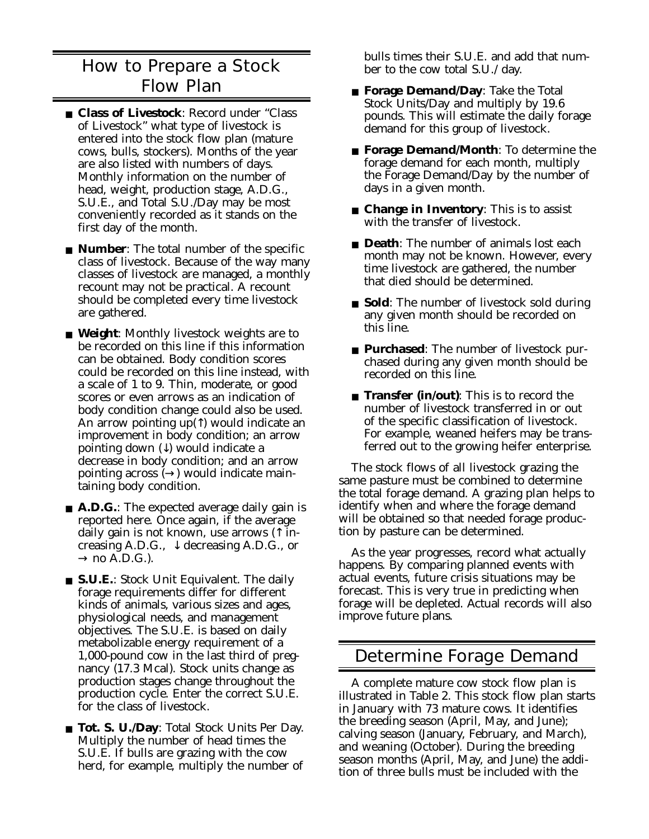# How to Prepare a Stock Flow Plan

- **Class of Livestock**: Record under "Class of Livestock" what type of livestock is entered into the stock flow plan (mature cows, bulls, stockers). Months of the year are also listed with numbers of days. Monthly information on the number of head, weight, production stage, A.D.G., S.U.E., and Total S.U./Day may be most conveniently recorded as it stands on the first day of the month.
- **Number**: The total number of the specific class of livestock. Because of the way many classes of livestock are managed, a monthly recount may not be practical. A recount should be completed every time livestock are gathered.
- **Weight**: Monthly livestock weights are to be recorded on this line if this information can be obtained. Body condition scores could be recorded on this line instead, with a scale of 1 to 9. Thin, moderate, or good scores or even arrows as an indication of body condition change could also be used. An arrow pointing up( $\uparrow$ ) would indicate an improvement in body condition; an arrow pointing down  $(\downarrow)$  would indicate a decrease in body condition; and an arrow pointing across  $(\rightarrow)$  would indicate maintaining body condition.
- **A.D.G.**: The expected average daily gain is reported here. Once again, if the average daily gain is not known, use arrows (↑ increasing A.D.G.,  $\downarrow$  decreasing A.D.G., or  $\rightarrow$  no A.D.G.).
- **S.U.E.**: Stock Unit Equivalent. The daily forage requirements differ for different kinds of animals, various sizes and ages, physiological needs, and management objectives. The S.U.E. is based on daily metabolizable energy requirement of a 1,000-pound cow in the last third of pregnancy (17.3 Mcal). Stock units change as production stages change throughout the production cycle. Enter the correct S.U.E. for the class of livestock.
- Tot. S. U./Day: Total Stock Units Per Day. Multiply the number of head times the S.U.E. If bulls are grazing with the cow herd, for example, multiply the number of

bulls times their S.U.E. and add that number to the cow total S.U./ day.

- **Forage Demand/Day**: Take the Total Stock Units/Day and multiply by 19.6 pounds. This will estimate the daily forage demand for this group of livestock.
- **Forage Demand/Month**: To determine the forage demand for each month, multiply the Forage Demand/Day by the number of days in a given month.
- **Change in Inventory**: This is to assist with the transfer of livestock.
- **Death**: The number of animals lost each month may not be known. However, every time livestock are gathered, the number that died should be determined.
- **Sold**: The number of livestock sold during any given month should be recorded on this line.
- **Purchased**: The number of livestock purchased during any given month should be recorded on this line.
- **Transfer (in/out)**: This is to record the number of livestock transferred in or out of the specific classification of livestock. For example, weaned heifers may be transferred out to the growing heifer enterprise.

The stock flows of all livestock grazing the same pasture must be combined to determine the total forage demand. A grazing plan helps to identify when and where the forage demand will be obtained so that needed forage production by pasture can be determined.

As the year progresses, record what actually happens. By comparing planned events with actual events, future crisis situations may be forecast. This is very true in predicting when forage will be depleted. Actual records will also improve future plans.

#### Determine Forage Demand

A complete mature cow stock flow plan is illustrated in Table 2. This stock flow plan starts in January with 73 mature cows. It identifies the breeding season (April, May, and June); calving season (January, February, and March), and weaning (October). During the breeding season months (April, May, and June) the addition of three bulls must be included with the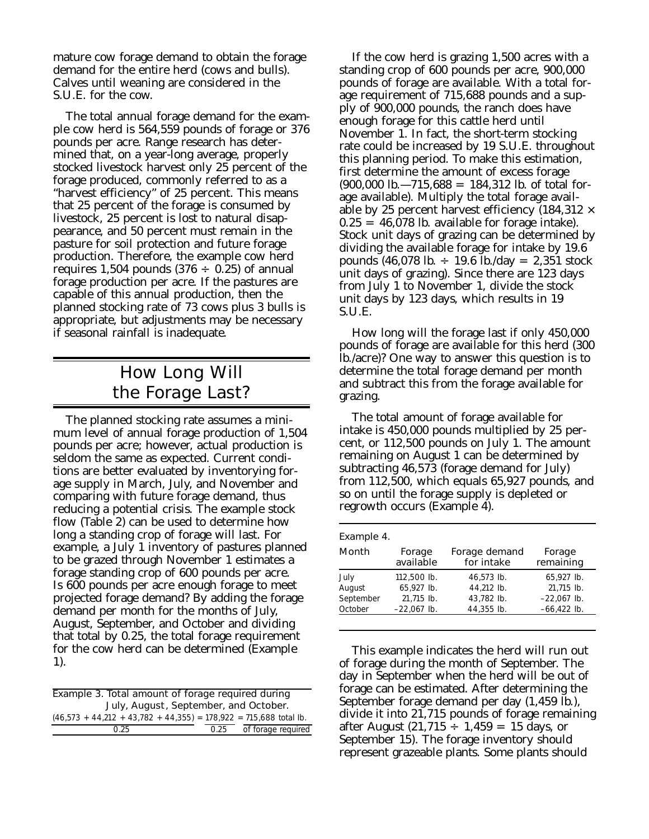mature cow forage demand to obtain the forage demand for the entire herd (cows and bulls). Calves until weaning are considered in the S.U.E. for the cow.

The total annual forage demand for the example cow herd is 564,559 pounds of forage or 376 pounds per acre. Range research has determined that, on a year-long average, properly stocked livestock harvest only 25 percent of the forage produced, commonly referred to as a "harvest efficiency" of 25 percent. This means that 25 percent of the forage is consumed by livestock, 25 percent is lost to natural disappearance, and 50 percent must remain in the pasture for soil protection and future forage production. Therefore, the example cow herd requires 1,504 pounds (376  $\div$  0.25) of annual forage production per acre. If the pastures are capable of this annual production, then the planned stocking rate of 73 cows plus 3 bulls is appropriate, but adjustments may be necessary if seasonal rainfall is inadequate.

# How Long Will the Forage Last?

The planned stocking rate assumes a minimum level of annual forage production of 1,504 pounds per acre; however, actual production is seldom the same as expected. Current conditions are better evaluated by inventorying forage supply in March, July, and November and comparing with future forage demand, thus reducing a potential crisis. The example stock flow (Table 2) can be used to determine how long a standing crop of forage will last. For example, a July 1 inventory of pastures planned to be grazed through November 1 estimates a forage standing crop of 600 pounds per acre. Is 600 pounds per acre enough forage to meet projected forage demand? By adding the forage demand per month for the months of July, August, September, and October and dividing that total by 0.25, the total forage requirement for the cow herd can be determined (Example 1).

Example 3. Total amount of forage required during July, August, September, and October.  $(46,573 + 44,212 + 43,782 + 44,355) = 178,922 = 715,688$  total lb. 0.25 0.25 of forage required

If the cow herd is grazing 1,500 acres with a standing crop of 600 pounds per acre, 900,000 pounds of forage are available. With a total forage requirement of 715,688 pounds and a supply of 900,000 pounds, the ranch does have enough forage for this cattle herd until November 1. In fact, the short-term stocking rate could be increased by 19 S.U.E. throughout this planning period. To make this estimation, first determine the amount of excess forage  $(900,000 \text{ lb.} - 715,688 = 184,312 \text{ lb. of total for}$ age available). Multiply the total forage available by 25 percent harvest efficiency (184,312  $\times$  $0.25 = 46,078$  lb. available for forage intake). Stock unit days of grazing can be determined by dividing the available forage for intake by 19.6 pounds (46,078 lb. ÷ 19.6 lb./day = 2,351 stock unit days of grazing). Since there are 123 days from July 1 to November 1, divide the stock unit days by 123 days, which results in 19 S.U.E.

How long will the forage last if only 450,000 pounds of forage are available for this herd (300 lb./acre)? One way to answer this question is to determine the total forage demand per month and subtract this from the forage available for grazing.

The total amount of forage available for intake is 450,000 pounds multiplied by 25 percent, or 112,500 pounds on July 1. The amount remaining on August 1 can be determined by subtracting 46,573 (forage demand for July) from 112,500, which equals 65,927 pounds, and so on until the forage supply is depleted or regrowth occurs (Example 4).

| Example 4.          |                             |                     |
|---------------------|-----------------------------|---------------------|
| Forage<br>available | Forage demand<br>for intake | Forage<br>remaining |
| 112,500 lb.         | 46.573 lb.                  | 65.927 lb.          |
| 65.927 lb.          | 44.212 lb.                  | 21.715 lb.          |
| 21,715 lb.          | 43,782 lb.                  | $-22,067$ lb.       |
| $-22,067$ lb.       | 44,355 lb.                  | $-66,422$ lb.       |
|                     |                             |                     |

This example indicates the herd will run out of forage during the month of September. The day in September when the herd will be out of forage can be estimated. After determining the September forage demand per day (1,459 lb.), divide it into 21,715 pounds of forage remaining after August  $(21,715 \div 1,459 = 15 \text{ days}, \text{ or }$ September 15). The forage inventory should represent grazeable plants. Some plants should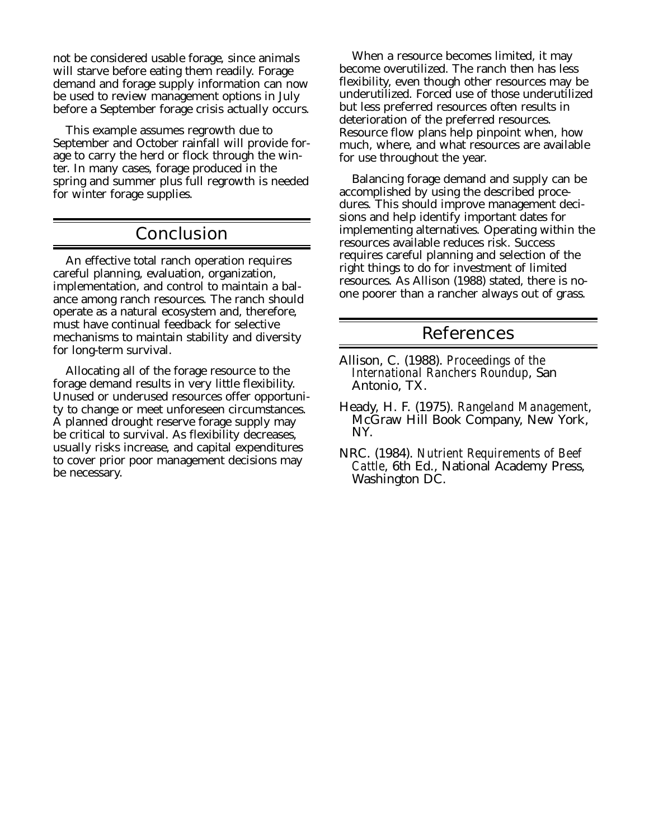not be considered usable forage, since animals will starve before eating them readily. Forage demand and forage supply information can now be used to review management options in July before a September forage crisis actually occurs.

This example assumes regrowth due to September and October rainfall will provide forage to carry the herd or flock through the winter. In many cases, forage produced in the spring and summer plus full regrowth is needed for winter forage supplies.

#### Conclusion

An effective total ranch operation requires careful planning, evaluation, organization, implementation, and control to maintain a balance among ranch resources. The ranch should operate as a natural ecosystem and, therefore, must have continual feedback for selective mechanisms to maintain stability and diversity for long-term survival.

Allocating all of the forage resource to the forage demand results in very little flexibility. Unused or underused resources offer opportunity to change or meet unforeseen circumstances. A planned drought reserve forage supply may be critical to survival. As flexibility decreases, usually risks increase, and capital expenditures to cover prior poor management decisions may be necessary.

When a resource becomes limited, it may become overutilized. The ranch then has less flexibility, even though other resources may be underutilized. Forced use of those underutilized but less preferred resources often results in deterioration of the preferred resources. Resource flow plans help pinpoint when, how much, where, and what resources are available for use throughout the year.

Balancing forage demand and supply can be accomplished by using the described procedures. This should improve management decisions and help identify important dates for implementing alternatives. Operating within the resources available reduces risk. Success requires careful planning and selection of the right things to do for investment of limited resources. As Allison (1988) stated, there is noone poorer than a rancher always out of grass.

#### References

- Allison, C. (1988). *Proceedings of the International Ranchers Roundup*, San Antonio, TX.
- Heady, H. F. (1975). *Rangeland Management*, McGraw Hill Book Company, New York, NY.
- NRC. (1984). *Nutrient Requirements of Beef Cattle*, 6th Ed., National Academy Press, Washington DC.